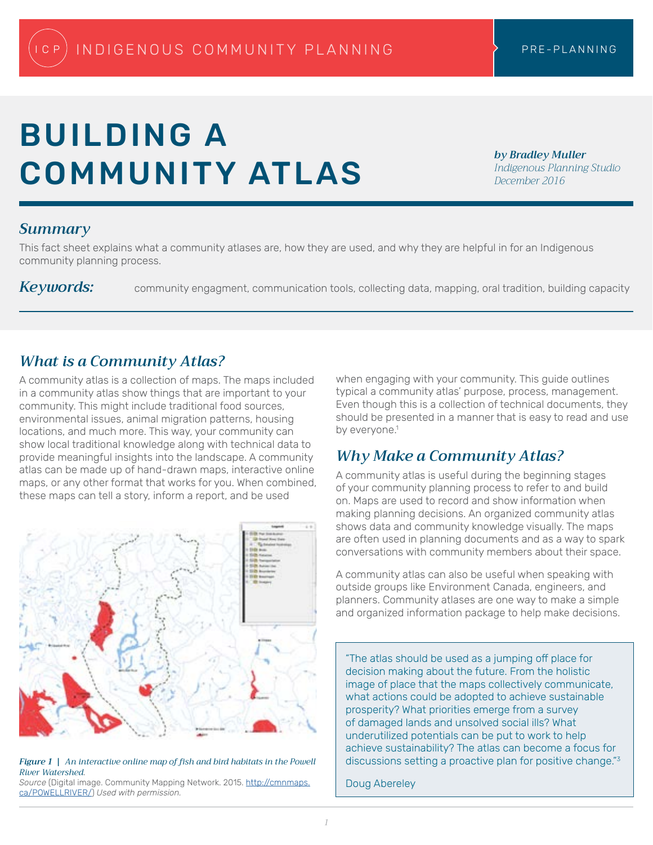# BUILDING A COMMUNITY ATLAS

*by Bradley Muller Indigenous Planning Studio December 2016*

## *Summary*

This fact sheet explains what a community atlases are, how they are used, and why they are helpful in for an Indigenous community planning process.

Keywords: community engagment, communication tools, collecting data, mapping, oral tradition, building capacity

### *What is a Community Atlas?*

A community atlas is a collection of maps. The maps included in a community atlas show things that are important to your community. This might include traditional food sources, environmental issues, animal migration patterns, housing locations, and much more. This way, your community can show local traditional knowledge along with technical data to provide meaningful insights into the landscape. A community atlas can be made up of hand-drawn maps, interactive online maps, or any other format that works for you. When combined, these maps can tell a story, inform a report, and be used



*Figure 1 | An interactive online map of fish and bird habitats in the Powell River Watershed*.

*Source* (Digital image. Community Mapping Network. 2015. [http://cmnmaps.](http://cmnmaps.ca/POWELLRIVER/) [ca/POWELLRIVER/](http://cmnmaps.ca/POWELLRIVER/)) *Used with permission.*

when engaging with your community. This guide outlines typical a community atlas' purpose, process, management. Even though this is a collection of technical documents, they should be presented in a manner that is easy to read and use by everyone.<sup>1</sup>

## *Why Make a Community Atlas?*

A community atlas is useful during the beginning stages of your community planning process to refer to and build on. Maps are used to record and show information when making planning decisions. An organized community atlas shows data and community knowledge visually. The maps are often used in planning documents and as a way to spark conversations with community members about their space.

A community atlas can also be useful when speaking with outside groups like Environment Canada, engineers, and planners. Community atlases are one way to make a simple and organized information package to help make decisions.

"The atlas should be used as a jumping off place for decision making about the future. From the holistic image of place that the maps collectively communicate, what actions could be adopted to achieve sustainable prosperity? What priorities emerge from a survey of damaged lands and unsolved social ills? What underutilized potentials can be put to work to help achieve sustainability? The atlas can become a focus for discussions setting a proactive plan for positive change."3

Doug Abereley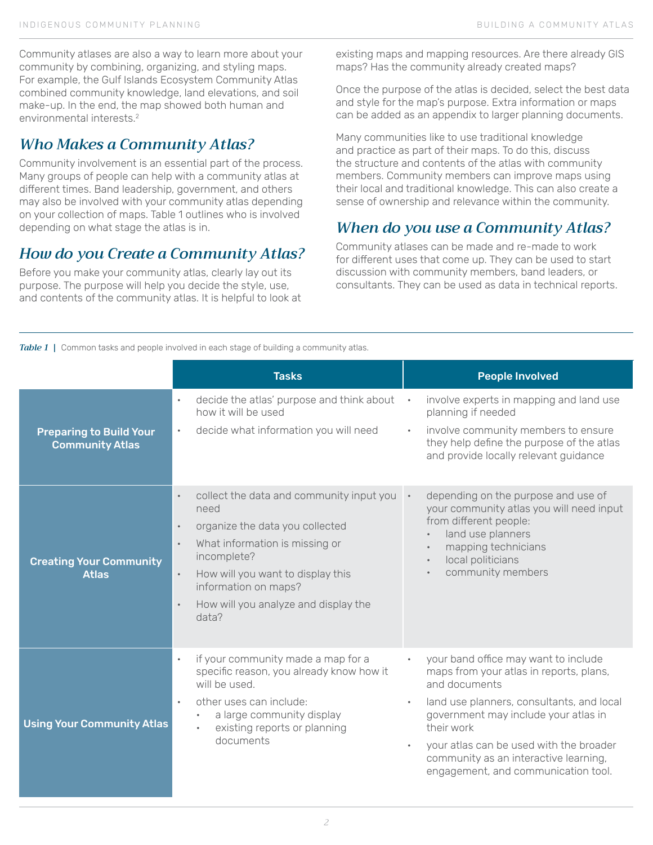Community atlases are also a way to learn more about your community by combining, organizing, and styling maps. For example, the Gulf Islands Ecosystem Community Atlas combined community knowledge, land elevations, and soil make-up. In the end, the map showed both human and environmental interests.2

# *Who Makes a Community Atlas?*

Community involvement is an essential part of the process. Many groups of people can help with a community atlas at different times. Band leadership, government, and others may also be involved with your community atlas depending on your collection of maps. Table 1 outlines who is involved depending on what stage the atlas is in.

# *How do you Create a Community Atlas?*

Before you make your community atlas, clearly lay out its purpose. The purpose will help you decide the style, use, and contents of the community atlas. It is helpful to look at existing maps and mapping resources. Are there already GIS maps? Has the community already created maps?

Once the purpose of the atlas is decided, select the best data and style for the map's purpose. Extra information or maps can be added as an appendix to larger planning documents.

Many communities like to use traditional knowledge and practice as part of their maps. To do this, discuss the structure and contents of the atlas with community members. Community members can improve maps using their local and traditional knowledge. This can also create a sense of ownership and relevance within the community.

# *When do you use a Community Atlas?*

Community atlases can be made and re-made to work for different uses that come up. They can be used to start discussion with community members, band leaders, or consultants. They can be used as data in technical reports.

**Table 1** | Common tasks and people involved in each stage of building a community atlas.

|                                                          | <b>Tasks</b>                                                                                                                                                                                                                                                                                                          | <b>People Involved</b>                                                                                                                                                                                                                                                                                                                                   |
|----------------------------------------------------------|-----------------------------------------------------------------------------------------------------------------------------------------------------------------------------------------------------------------------------------------------------------------------------------------------------------------------|----------------------------------------------------------------------------------------------------------------------------------------------------------------------------------------------------------------------------------------------------------------------------------------------------------------------------------------------------------|
| <b>Preparing to Build Your</b><br><b>Community Atlas</b> | decide the atlas' purpose and think about<br>$\bullet$<br>how it will be used<br>decide what information you will need<br>$\bullet$                                                                                                                                                                                   | involve experts in mapping and land use<br>planning if needed<br>involve community members to ensure<br>they help define the purpose of the atlas<br>and provide locally relevant guidance                                                                                                                                                               |
| <b>Creating Your Community</b><br><b>Atlas</b>           | collect the data and community input you .<br>$\bullet$<br>need<br>organize the data you collected<br>$\bullet$<br>What information is missing or<br>$\bullet$<br>incomplete?<br>How will you want to display this<br>$\bullet$<br>information on maps?<br>How will you analyze and display the<br>$\bullet$<br>data? | depending on the purpose and use of<br>your community atlas you will need input<br>from different people:<br>land use planners<br>$\bullet$<br>mapping technicians<br>$\bullet$<br>local politicians<br>$\bullet$<br>community members                                                                                                                   |
| <b>Using Your Community Atlas</b>                        | if your community made a map for a<br>$\bullet$<br>specific reason, you already know how it<br>will be used.<br>other uses can include:<br>$\bullet$<br>a large community display<br>existing reports or planning<br>documents                                                                                        | your band office may want to include<br>maps from your atlas in reports, plans,<br>and documents<br>land use planners, consultants, and local<br>$\bullet$<br>government may include your atlas in<br>their work<br>your atlas can be used with the broader<br>$\bullet$<br>community as an interactive learning,<br>engagement, and communication tool. |